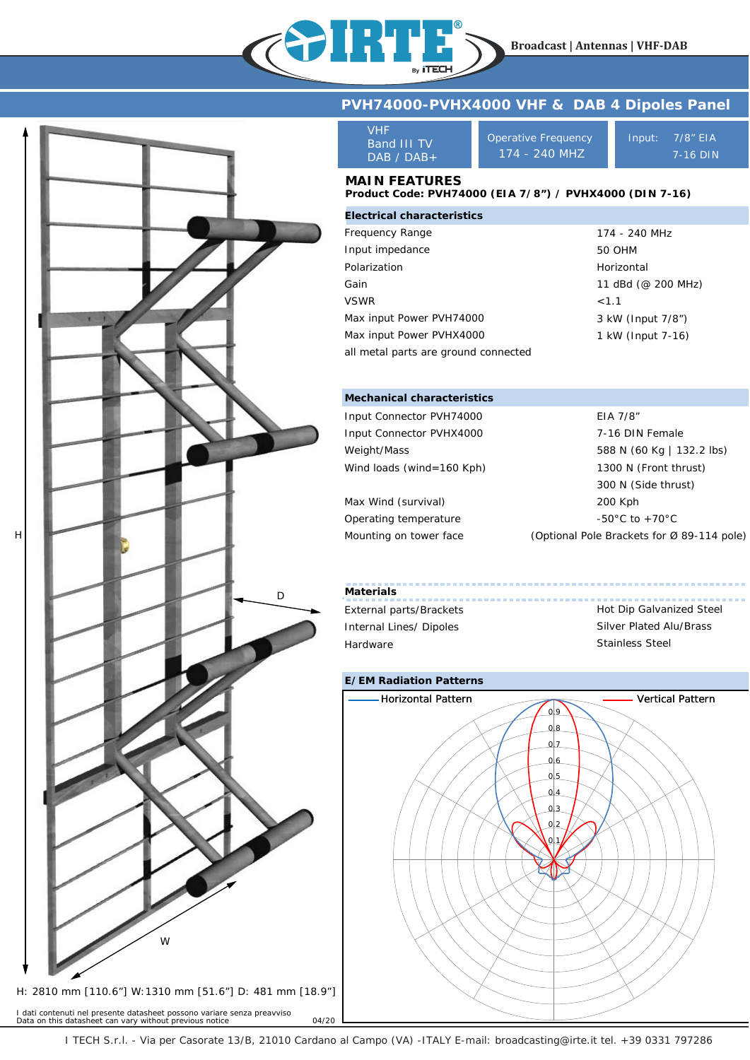



I dati contenuti nel presente datasheet possono variare senza preavviso *Data on this datasheet can vary without previous notice* 04/20

### **PVH74000-PVHX4000 VHF & DAB 4 Dipoles Panel**

| VHF              |
|------------------|
| Band III TV      |
| $DAB \neq DAB +$ |

Operative Frequency 174 - 240 MHZ

Input: 7/8" EIA 7-16 DIN

## **MAIN FEATURES**

#### **Product Code: PVH74000 (EIA 7/8") / PVHX4000 (DIN 7-16)**

| <b>Electrical characteristics</b>    |                    |
|--------------------------------------|--------------------|
| Frequency Range                      | 174 - 240 MHz      |
| Input impedance                      | 50 OHM             |
| Polarization                         | Horizontal         |
| Gain                                 | 11 dBd (@ 200 MHz) |
| <b>VSWR</b>                          | < 1.1              |
| Max input Power PVH74000             | 3 kW (Input 7/8")  |
| Max input Power PVHX4000             | 1 kW (Input 7-16)  |
| all metal parts are ground connected |                    |

#### **Mechanical characteristics**

| Input Connector PVH74000  | EIA 7/8"                                   |
|---------------------------|--------------------------------------------|
| Input Connector PVHX4000  | 7-16 DIN Female                            |
| Weight/Mass               | 588 N (60 Kg   132.2 lbs)                  |
| Wind loads (wind=160 Kph) | 1300 N (Front thrust)                      |
|                           | 300 N (Side thrust)                        |
| Max Wind (survival)       | 200 Kph                                    |
| Operating temperature     | $-50^{\circ}$ C to $+70^{\circ}$ C         |
| Mounting on tower face    | (Optional Pole Brackets for Ø 89-114 pole) |

# **Materials** External parts/Brackets

Internal Lines/ Dipoles Hardware

## Hot Dip Galvanized Steel Silver Plated Alu/Brass Stainless Steel



I TECH S.r.l. - Via per Casorate 13/B, 21010 Cardano al Campo (VA) -ITALY E-mail: broadcasting@irte.it tel. +39 0331 797286